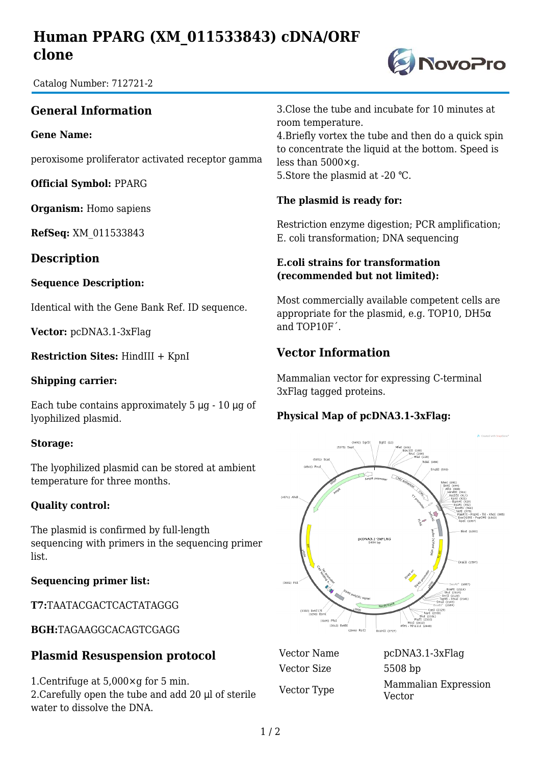# **Human PPARG (XM\_011533843) cDNA/ORF clone**

**DivoPro** 

Catalog Number: 712721-2

## **General Information**

#### **Gene Name:**

peroxisome proliferator activated receptor gamma

**Official Symbol:** PPARG

**Organism:** Homo sapiens

**RefSeq:** XM\_011533843

**Description**

#### **Sequence Description:**

Identical with the Gene Bank Ref. ID sequence.

**Vector:** pcDNA3.1-3xFlag

**Restriction Sites:** HindIII + KpnI

#### **Shipping carrier:**

Each tube contains approximately 5 μg - 10 μg of lyophilized plasmid.

#### **Storage:**

The lyophilized plasmid can be stored at ambient temperature for three months.

#### **Quality control:**

The plasmid is confirmed by full-length sequencing with primers in the sequencing primer list.

#### **Sequencing primer list:**

**T7:**TAATACGACTCACTATAGGG

**BGH:**TAGAAGGCACAGTCGAGG

## **Plasmid Resuspension protocol**

1.Centrifuge at 5,000×g for 5 min. 2.Carefully open the tube and add 20 μl of sterile water to dissolve the DNA.

3.Close the tube and incubate for 10 minutes at room temperature.

4.Briefly vortex the tube and then do a quick spin to concentrate the liquid at the bottom. Speed is less than 5000×g. 5.Store the plasmid at -20 ℃.

### **The plasmid is ready for:**

Restriction enzyme digestion; PCR amplification; E. coli transformation; DNA sequencing

#### **E.coli strains for transformation (recommended but not limited):**

Most commercially available competent cells are appropriate for the plasmid, e.g. TOP10, DH5 $\alpha$ and TOP10F´.

## **Vector Information**

Mammalian vector for expressing C-terminal 3xFlag tagged proteins.

### **Physical Map of pcDNA3.1-3xFlag:**



Vector Size 5508 bp

Vector Name pcDNA3.1-3xFlag Vector Type Mammalian Expression Vector